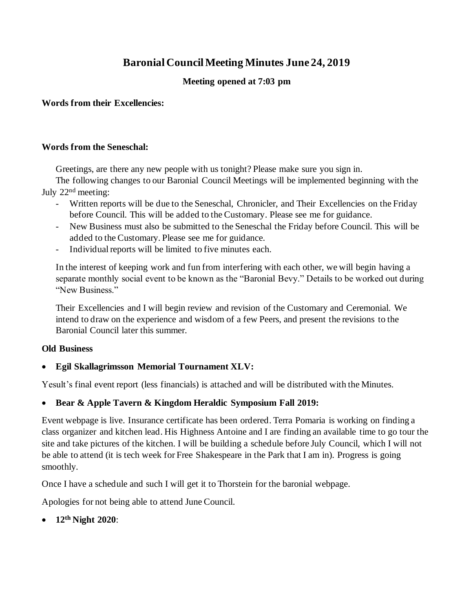# **Baronial Council Meeting Minutes June 24, 2019**

### **Meeting opened at 7:03 pm**

**Words from their Excellencies:** 

#### **Words from the Seneschal:**

Greetings, are there any new people with us tonight? Please make sure you sign in.

The following changes to our Baronial Council Meetings will be implemented beginning with the July 22nd meeting:

- Written reports will be due to the Seneschal, Chronicler, and Their Excellencies on the Friday before Council. This will be added to the Customary. Please see me for guidance.
- New Business must also be submitted to the Seneschal the Friday before Council. This will be added to the Customary. Please see me for guidance.
- Individual reports will be limited to five minutes each.

In the interest of keeping work and fun from interfering with each other, we will begin having a separate monthly social event to be known as the "Baronial Bevy." Details to be worked out during "New Business."

Their Excellencies and I will begin review and revision of the Customary and Ceremonial. We intend to draw on the experience and wisdom of a few Peers, and present the revisions to the Baronial Council later this summer.

### **Old Business**

### • **Egil Skallagrimsson Memorial Tournament XLV:**

Yesult's final event report (less financials) is attached and will be distributed with the Minutes.

### • **Bear & Apple Tavern & Kingdom Heraldic Symposium Fall 2019:**

Event webpage is live. Insurance certificate has been ordered. Terra Pomaria is working on finding a class organizer and kitchen lead. His Highness Antoine and I are finding an available time to go tour the site and take pictures of the kitchen. I will be building a schedule before July Council, which I will not be able to attend (it is tech week for Free Shakespeare in the Park that I am in). Progress is going smoothly.

Once I have a schedule and such I will get it to Thorstein for the baronial webpage.

Apologies for not being able to attend June Council.

• **12th Night 2020**: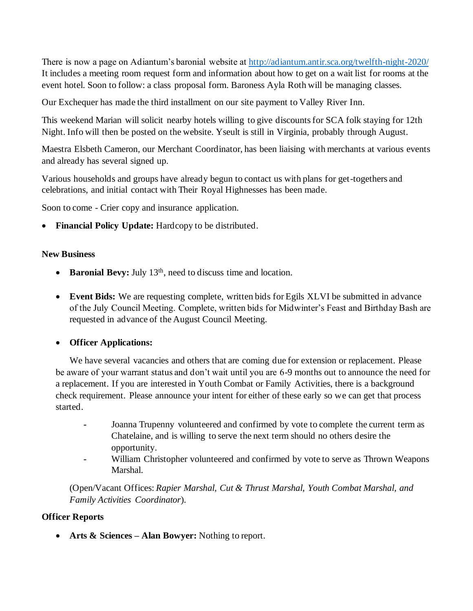There is now a page on Adiantum's baronial website at http://adiantum.antir.sca.org/twelfth-night-2020/ It includes a meeting room request form and information about how to get on a wait list for rooms at the event hotel. Soon to follow: a class proposal form. Baroness Ayla Roth will be managing classes.

Our Exchequer has made the third installment on our site payment to Valley River Inn.

This weekend Marian will solicit nearby hotels willing to give discounts for SCA folk staying for 12th Night. Info will then be posted on the website. Yseult is still in Virginia, probably through August.

Maestra Elsbeth Cameron, our Merchant Coordinator, has been liaising with merchants at various events and already has several signed up.

Various households and groups have already begun to contact us with plans for get-togethers and celebrations, and initial contact with Their Royal Highnesses has been made.

Soon to come - Crier copy and insurance application.

**Financial Policy Update:** Hardcopy to be distributed.

#### **New Business**

- **Baronial Bevy:** July 13<sup>th</sup>, need to discuss time and location.
- **Event Bids:** We are requesting complete, written bids for Egils XLVI be submitted in advance of the July Council Meeting. Complete, written bids for Midwinter's Feast and Birthday Bash are requested in advance of the August Council Meeting.

### • **Officer Applications:**

We have several vacancies and others that are coming due for extension or replacement. Please be aware of your warrant status and don't wait until you are 6-9 months out to announce the need for a replacement. If you are interested in Youth Combat or Family Activities, there is a background check requirement. Please announce your intent for either of these early so we can get that process started.

- **-** Joanna Trupenny volunteered and confirmed by vote to complete the current term as Chatelaine, and is willing to serve the next term should no others desire the opportunity.
- **-** William Christopher volunteered and confirmed by vote to serve as Thrown Weapons Marshal.

(Open/Vacant Offices: *Rapier Marshal, Cut & Thrust Marshal, Youth Combat Marshal, and Family Activities Coordinator*).

### **Officer Reports**

• **Arts & Sciences – Alan Bowyer:** Nothing to report.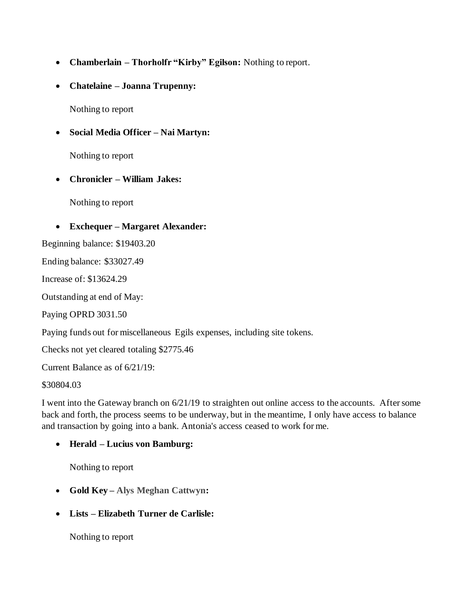- **Chamberlain – Thorholfr "Kirby" Egilson:** Nothing to report.
- **Chatelaine – Joanna Trupenny:**

Nothing to report

• **Social Media Officer – Nai Martyn:** 

Nothing to report

• **Chronicler – William Jakes:**

Nothing to report

#### • **Exchequer – Margaret Alexander:**

Beginning balance: \$19403.20

Ending balance: \$33027.49

Increase of: \$13624.29

Outstanding at end of May:

Paying OPRD 3031.50

Paying funds out for miscellaneous Egils expenses, including site tokens.

Checks not yet cleared totaling \$2775.46

Current Balance as of 6/21/19:

\$30804.03

I went into the Gateway branch on 6/21/19 to straighten out online access to the accounts. After some back and forth, the process seems to be underway, but in the meantime, I only have access to balance and transaction by going into a bank. Antonia's access ceased to work for me.

• **Herald – Lucius von Bamburg:**

Nothing to report

- **Gold Key – Alys Meghan Cattwyn:**
- **Lists – Elizabeth Turner de Carlisle:**

Nothing to report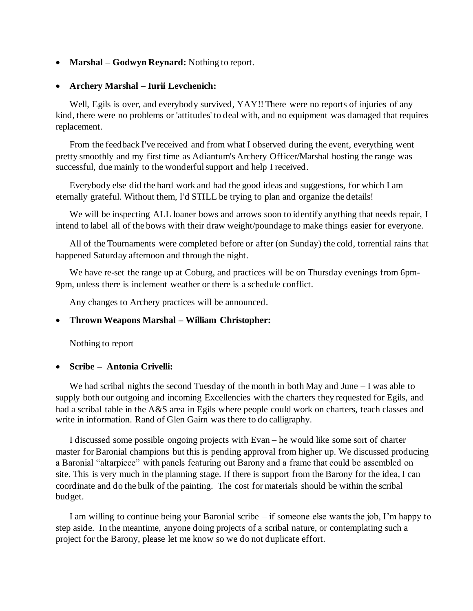• **Marshal – Godwyn Reynard:** Nothing to report.

#### • **Archery Marshal – Iurii Levchenich:**

Well, Egils is over, and everybody survived, YAY!! There were no reports of injuries of any kind, there were no problems or 'attitudes' to deal with, and no equipment was damaged that requires replacement.

From the feedback I've received and from what I observed during the event, everything went pretty smoothly and my first time as Adiantum's Archery Officer/Marshal hosting the range was successful, due mainly to the wonderful support and help I received.

Everybody else did the hard work and had the good ideas and suggestions, for which I am eternally grateful. Without them, I'd STILL be trying to plan and organize the details!

We will be inspecting ALL loaner bows and arrows soon to identify anything that needs repair, I intend to label all of the bows with their draw weight/poundage to make things easier for everyone.

All of the Tournaments were completed before or after (on Sunday) the cold, torrential rains that happened Saturday afternoon and through the night.

We have re-set the range up at Coburg, and practices will be on Thursday evenings from 6pm-9pm, unless there is inclement weather or there is a schedule conflict.

Any changes to Archery practices will be announced.

#### • **Thrown Weapons Marshal – William Christopher:**

Nothing to report

#### • **Scribe – Antonia Crivelli:**

We had scribal nights the second Tuesday of the month in both May and June  $-I$  was able to supply both our outgoing and incoming Excellencies with the charters they requested for Egils, and had a scribal table in the A&S area in Egils where people could work on charters, teach classes and write in information. Rand of Glen Gairn was there to do calligraphy.

I discussed some possible ongoing projects with Evan – he would like some sort of charter master for Baronial champions but this is pending approval from higher up. We discussed producing a Baronial "altarpiece" with panels featuring out Barony and a frame that could be assembled on site. This is very much in the planning stage. If there is support from the Barony for the idea, I can coordinate and do the bulk of the painting. The cost for materials should be within the scribal budget.

I am willing to continue being your Baronial scribe – if someone else wants the job, I'm happy to step aside. In the meantime, anyone doing projects of a scribal nature, or contemplating such a project for the Barony, please let me know so we do not duplicate effort.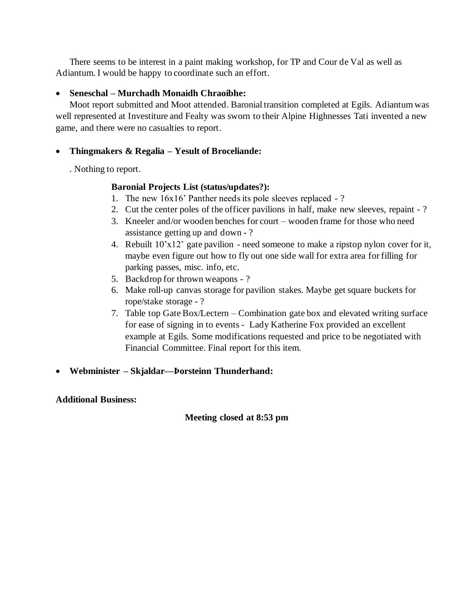There seems to be interest in a paint making workshop, for TP and Cour de Val as well as Adiantum. I would be happy to coordinate such an effort.

### • **Seneschal – Murchadh Monaidh Chraoibhe:**

Moot report submitted and Moot attended. Baronial transition completed at Egils. Adiantum was well represented at Investiture and Fealty was sworn to their Alpine Highnesses Tati invented a new game, and there were no casualties to report.

# • **Thingmakers & Regalia – Yesult of Broceliande:**

. Nothing to report.

# **Baronial Projects List (status/updates?):**

- 1. The new 16x16' Panther needs its pole sleeves replaced ?
- 2. Cut the center poles of the officer pavilions in half, make new sleeves, repaint ?
- 3. Kneeler and/or wooden benches for court wooden frame for those who need assistance getting up and down - ?
- 4. Rebuilt 10'x12' gate pavilion need someone to make a ripstop nylon cover for it, maybe even figure out how to fly out one side wall for extra area for filling for parking passes, misc. info, etc.
- 5. Backdrop for thrown weapons ?
- 6. Make roll-up canvas storage for pavilion stakes. Maybe get square buckets for rope/stake storage - ?
- 7. Table top Gate Box/Lectern Combination gate box and elevated writing surface for ease of signing in to events - Lady Katherine Fox provided an excellent example at Egils. Some modifications requested and price to be negotiated with Financial Committee. Final report for this item.

# • **Webminister – Skjaldar—Þorsteinn Thunderhand:**

### **Additional Business:**

### **Meeting closed at 8:53 pm**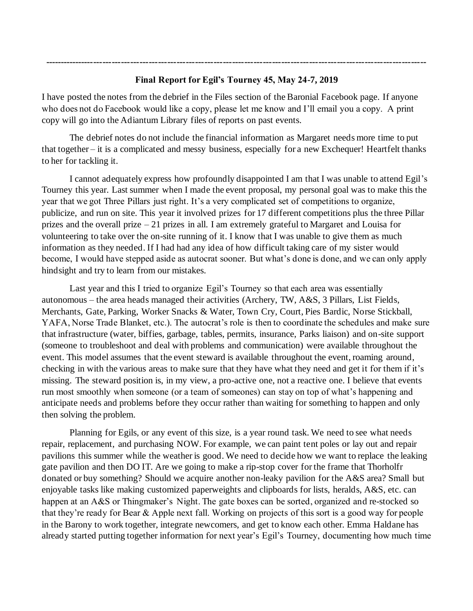# **Final Report for Egil's Tourney 45, May 24-7, 2019**

**----------------------------------------------------------------------------------------------------------------------------**

I have posted the notes from the debrief in the Files section of the Baronial Facebook page. If anyone who does not do Facebook would like a copy, please let me know and I'll email you a copy. A print copy will go into the Adiantum Library files of reports on past events.

The debrief notes do not include the financial information as Margaret needs more time to put that together – it is a complicated and messy business, especially for a new Exchequer! Heartfelt thanks to her for tackling it.

I cannot adequately express how profoundly disappointed I am that I was unable to attend Egil's Tourney this year. Last summer when I made the event proposal, my personal goal was to make this the year that we got Three Pillars just right. It's a very complicated set of competitions to organize, publicize, and run on site. This year it involved prizes for 17 different competitions plus the three Pillar prizes and the overall prize – 21 prizes in all. I am extremely grateful to Margaret and Louisa for volunteering to take over the on-site running of it. I know that I was unable to give them as much information as they needed. If I had had any idea of how difficult taking care of my sister would become, I would have stepped aside as autocrat sooner. But what's done is done, and we can only apply hindsight and try to learn from our mistakes.

Last year and this I tried to organize Egil's Tourney so that each area was essentially autonomous – the area heads managed their activities (Archery, TW, A&S, 3 Pillars, List Fields, Merchants, Gate, Parking, Worker Snacks & Water, Town Cry, Court, Pies Bardic, Norse Stickball, YAFA, Norse Trade Blanket, etc.). The autocrat's role is then to coordinate the schedules and make sure that infrastructure (water, biffies, garbage, tables, permits, insurance, Parks liaison) and on-site support (someone to troubleshoot and deal with problems and communication) were available throughout the event. This model assumes that the event steward is available throughout the event, roaming around, checking in with the various areas to make sure that they have what they need and get it for them if it's missing. The steward position is, in my view, a pro-active one, not a reactive one. I believe that events run most smoothly when someone (or a team of someones) can stay on top of what's happening and anticipate needs and problems before they occur rather than waiting for something to happen and only then solving the problem.

Planning for Egils, or any event of this size, is a year round task. We need to see what needs repair, replacement, and purchasing NOW. For example, we can paint tent poles or lay out and repair pavilions this summer while the weather is good. We need to decide how we want to replace the leaking gate pavilion and then DO IT. Are we going to make a rip-stop cover for the frame that Thorholfr donated or buy something? Should we acquire another non-leaky pavilion for the A&S area? Small but enjoyable tasks like making customized paperweights and clipboards for lists, heralds, A&S, etc. can happen at an A&S or Thingmaker's Night. The gate boxes can be sorted, organized and re-stocked so that they're ready for Bear & Apple next fall. Working on projects of this sort is a good way for people in the Barony to work together, integrate newcomers, and get to know each other. Emma Haldane has already started putting together information for next year's Egil's Tourney, documenting how much time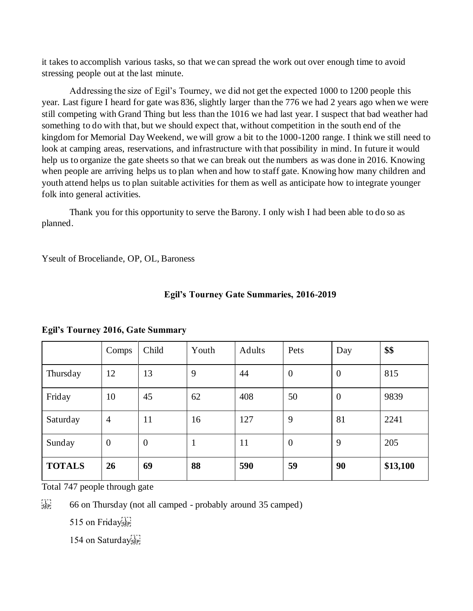it takes to accomplish various tasks, so that we can spread the work out over enough time to avoid stressing people out at the last minute.

Addressing the size of Egil's Tourney, we did not get the expected 1000 to 1200 people this year. Last figure I heard for gate was 836, slightly larger than the 776 we had 2 years ago when we were still competing with Grand Thing but less than the 1016 we had last year. I suspect that bad weather had something to do with that, but we should expect that, without competition in the south end of the kingdom for Memorial Day Weekend, we will grow a bit to the 1000-1200 range. I think we still need to look at camping areas, reservations, and infrastructure with that possibility in mind. In future it would help us to organize the gate sheets so that we can break out the numbers as was done in 2016. Knowing when people are arriving helps us to plan when and how to staff gate. Knowing how many children and youth attend helps us to plan suitable activities for them as well as anticipate how to integrate younger folk into general activities.

Thank you for this opportunity to serve the Barony. I only wish I had been able to do so as planned.

Yseult of Broceliande, OP, OL, Baroness

|               | Comps            | Child            | Youth | Adults | Pets           | Day              | \$\$     |
|---------------|------------------|------------------|-------|--------|----------------|------------------|----------|
| Thursday      | 12               | 13               | 9     | 44     | $\overline{0}$ | $\overline{0}$   | 815      |
| Friday        | 10               | 45               | 62    | 408    | 50             | $\boldsymbol{0}$ | 9839     |
| Saturday      | $\overline{4}$   | 11               | 16    | 127    | 9              | 81               | 2241     |
| Sunday        | $\boldsymbol{0}$ | $\boldsymbol{0}$ | 1     | 11     | $\overline{0}$ | 9                | 205      |
| <b>TOTALS</b> | 26               | 69               | 88    | 590    | 59             | 90               | \$13,100 |

#### **Egil's Tourney Gate Summaries, 2016-2019**

#### **Egil's Tourney 2016, Gate Summary**

Total 747 people through gate

 $\frac{1}{155}$  66 on Thursday (not all camped - probably around 35 camped)

515 on Friday<sub>ser!</sub>

154 on Saturday<sub>ser!</sub>